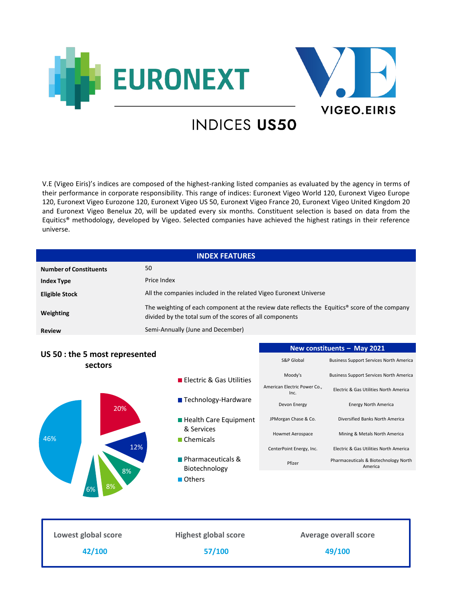



## **INDICES US50**

V.E (Vigeo Eiris)'s indices are composed of the highest-ranking listed companies as evaluated by the agency in terms of their performance in corporate responsibility. This range of indices: Euronext Vigeo World 120, Euronext Vigeo Europe 120, Euronext Vigeo Eurozone 120, Euronext Vigeo US 50, Euronext Vigeo France 20, Euronext Vigeo United Kingdom 20 and Euronext Vigeo Benelux 20, will be updated every six months. Constituent selection is based on data from the Equitics® methodology, developed by Vigeo. Selected companies have achieved the highest ratings in their reference universe.

|                                           | <b>INDEX FEATURES</b>                                                                                                                                      |                                      |                                                  |  |
|-------------------------------------------|------------------------------------------------------------------------------------------------------------------------------------------------------------|--------------------------------------|--------------------------------------------------|--|
| <b>Number of Constituents</b>             | 50                                                                                                                                                         |                                      |                                                  |  |
| <b>Index Type</b>                         | Price Index                                                                                                                                                |                                      |                                                  |  |
| <b>Eligible Stock</b>                     | All the companies included in the related Vigeo Euronext Universe                                                                                          |                                      |                                                  |  |
| Weighting                                 | The weighting of each component at the review date reflects the Equitics® score of the company<br>divided by the total sum of the scores of all components |                                      |                                                  |  |
| <b>Review</b>                             | Semi-Annually (June and December)                                                                                                                          |                                      |                                                  |  |
|                                           |                                                                                                                                                            | New constituents - May 2021          |                                                  |  |
| US 50 : the 5 most represented<br>sectors |                                                                                                                                                            | S&P Global                           | <b>Business Support Services North America</b>   |  |
| 20%                                       | <b>Electric &amp; Gas Utilities</b>                                                                                                                        | Moody's                              | <b>Business Support Services North America</b>   |  |
|                                           |                                                                                                                                                            | American Electric Power Co.,<br>Inc. | Electric & Gas Utilities North America           |  |
|                                           | Technology-Hardware                                                                                                                                        | Devon Energy                         | Energy North America                             |  |
|                                           | <b>Health Care Equipment</b>                                                                                                                               | JPMorgan Chase & Co.                 | Diversified Banks North America                  |  |
| 46%                                       | & Services<br><b>Chemicals</b>                                                                                                                             | <b>Howmet Aerospace</b>              | Mining & Metals North America                    |  |
| 12%                                       |                                                                                                                                                            | CenterPoint Energy, Inc.             | Electric & Gas Utilities North America           |  |
|                                           | Pharmaceuticals &<br>Biotechnology                                                                                                                         | Pfizer                               | Pharmaceuticals & Biotechnology North<br>America |  |
| 8%<br>8%                                  | Others                                                                                                                                                     |                                      |                                                  |  |
|                                           |                                                                                                                                                            |                                      |                                                  |  |
| Lowest global score                       | <b>Highest global score</b>                                                                                                                                | <b>Average overall score</b>         |                                                  |  |
| 42/100                                    | 57/100                                                                                                                                                     | 49/100                               |                                                  |  |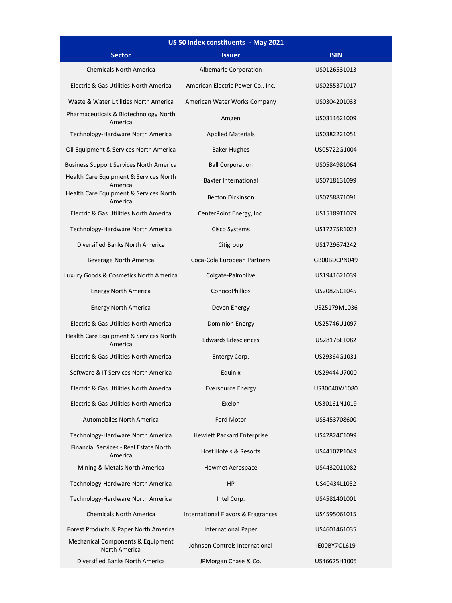| US 50 Index constituents - May 2021                |                                    |              |  |  |  |
|----------------------------------------------------|------------------------------------|--------------|--|--|--|
| <b>Sector</b>                                      | <b>Issuer</b>                      | <b>ISIN</b>  |  |  |  |
| <b>Chemicals North America</b>                     | Albemarle Corporation              | US0126531013 |  |  |  |
| Electric & Gas Utilities North America             | American Electric Power Co., Inc.  | US0255371017 |  |  |  |
| Waste & Water Utilities North America              | American Water Works Company       | US0304201033 |  |  |  |
| Pharmaceuticals & Biotechnology North<br>America   | Amgen                              | US0311621009 |  |  |  |
| Technology-Hardware North America                  | <b>Applied Materials</b>           | US0382221051 |  |  |  |
| Oil Equipment & Services North America             | <b>Baker Hughes</b>                | US05722G1004 |  |  |  |
| <b>Business Support Services North America</b>     | <b>Ball Corporation</b>            | US0584981064 |  |  |  |
| Health Care Equipment & Services North<br>America  | <b>Baxter International</b>        | US0718131099 |  |  |  |
| Health Care Equipment & Services North<br>America  | <b>Becton Dickinson</b>            | US0758871091 |  |  |  |
| Electric & Gas Utilities North America             | CenterPoint Energy, Inc.           | US15189T1079 |  |  |  |
| Technology-Hardware North America                  | Cisco Systems                      | US17275R1023 |  |  |  |
| Diversified Banks North America                    | Citigroup                          | US1729674242 |  |  |  |
| Beverage North America                             | Coca-Cola European Partners        | GB00BDCPN049 |  |  |  |
| Luxury Goods & Cosmetics North America             | Colgate-Palmolive                  | US1941621039 |  |  |  |
| <b>Energy North America</b>                        | ConocoPhillips                     | US20825C1045 |  |  |  |
| <b>Energy North America</b>                        | Devon Energy                       | US25179M1036 |  |  |  |
| Electric & Gas Utilities North America             | <b>Dominion Energy</b>             | US25746U1097 |  |  |  |
| Health Care Equipment & Services North<br>America  | <b>Edwards Lifesciences</b>        | US28176E1082 |  |  |  |
| Electric & Gas Utilities North America             | Entergy Corp.                      | US29364G1031 |  |  |  |
| Software & IT Services North America               | Equinix                            | US29444U7000 |  |  |  |
| Electric & Gas Utilities North America             | <b>Eversource Energy</b>           | US30040W1080 |  |  |  |
| Electric & Gas Utilities North America             | Exelon                             | US30161N1019 |  |  |  |
| <b>Automobiles North America</b>                   | Ford Motor                         | US3453708600 |  |  |  |
| Technology-Hardware North America                  | <b>Hewlett Packard Enterprise</b>  | US42824C1099 |  |  |  |
| Financial Services - Real Estate North<br>America  | Host Hotels & Resorts              | US44107P1049 |  |  |  |
| Mining & Metals North America                      | Howmet Aerospace                   | US4432011082 |  |  |  |
| Technology-Hardware North America                  | <b>HP</b>                          | US40434L1052 |  |  |  |
| Technology-Hardware North America                  | Intel Corp.                        | US4581401001 |  |  |  |
| <b>Chemicals North America</b>                     | International Flavors & Fragrances | US4595061015 |  |  |  |
| Forest Products & Paper North America              | <b>International Paper</b>         | US4601461035 |  |  |  |
| Mechanical Components & Equipment<br>North America | Johnson Controls International     | IE00BY7QL619 |  |  |  |
| Diversified Banks North America                    | JPMorgan Chase & Co.               | US46625H1005 |  |  |  |